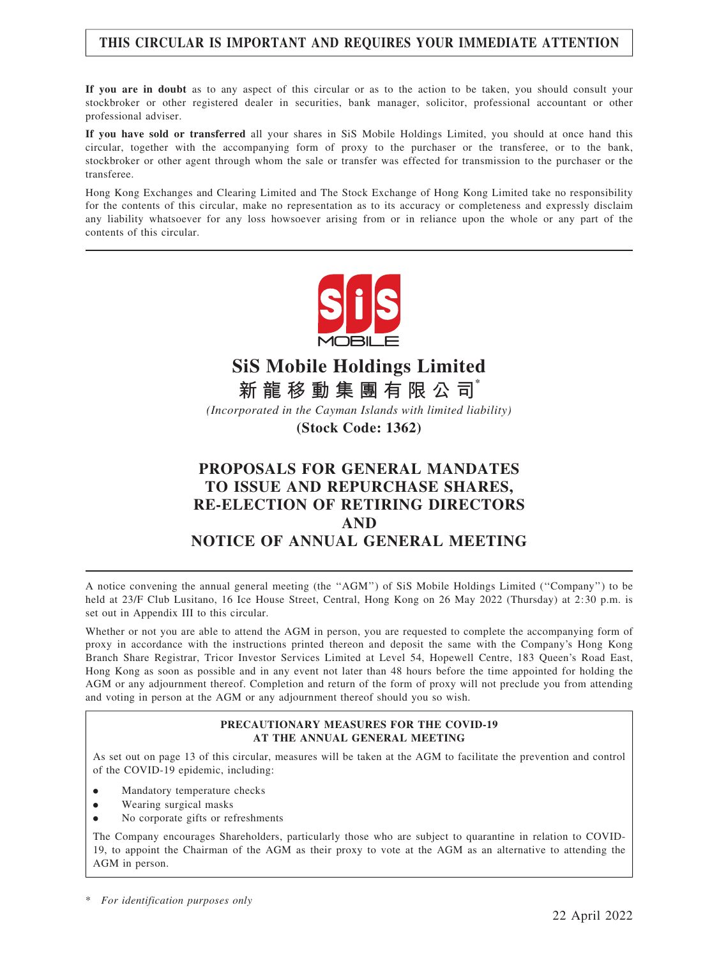## THIS CIRCULAR IS IMPORTANT AND REQUIRES YOUR IMMEDIATE ATTENTION

If you are in doubt as to any aspect of this circular or as to the action to be taken, you should consult your stockbroker or other registered dealer in securities, bank manager, solicitor, professional accountant or other professional adviser.

If you have sold or transferred all your shares in SiS Mobile Holdings Limited, you should at once hand this circular, together with the accompanying form of proxy to the purchaser or the transferee, or to the bank, stockbroker or other agent through whom the sale or transfer was effected for transmission to the purchaser or the transferee.

Hong Kong Exchanges and Clearing Limited and The Stock Exchange of Hong Kong Limited take no responsibility for the contents of this circular, make no representation as to its accuracy or completeness and expressly disclaim any liability whatsoever for any loss howsoever arising from or in reliance upon the whole or any part of the contents of this circular.



# **SiS Mobile Holdings Limited**

**新 龍 移 動 集 團 有 限 公 司\***

*(Incorporated in the Cayman Islands with limited liability)*

**(Stock Code: 1362)**

## PROPOSALS FOR GENERAL MANDATES TO ISSUE AND REPURCHASE SHARES, RE-ELECTION OF RETIRING DIRECTORS AND NOTICE OF ANNUAL GENERAL MEETING

A notice convening the annual general meeting (the ''AGM'') of SiS Mobile Holdings Limited (''Company'') to be held at 23/F Club Lusitano, 16 Ice House Street, Central, Hong Kong on 26 May 2022 (Thursday) at 2:30 p.m. is set out in Appendix III to this circular.

Whether or not you are able to attend the AGM in person, you are requested to complete the accompanying form of proxy in accordance with the instructions printed thereon and deposit the same with the Company's Hong Kong Branch Share Registrar, Tricor Investor Services Limited at Level 54, Hopewell Centre, 183 Queen's Road East, Hong Kong as soon as possible and in any event not later than 48 hours before the time appointed for holding the AGM or any adjournment thereof. Completion and return of the form of proxy will not preclude you from attending and voting in person at the AGM or any adjournment thereof should you so wish.

#### PRECAUTIONARY MEASURES FOR THE COVID-19 AT THE ANNUAL GENERAL MEETING

As set out on page 13 of this circular, measures will be taken at the AGM to facilitate the prevention and control of the COVID-19 epidemic, including:

- . Mandatory temperature checks
- . Wearing surgical masks
- . No corporate gifts or refreshments

The Company encourages Shareholders, particularly those who are subject to quarantine in relation to COVID-19, to appoint the Chairman of the AGM as their proxy to vote at the AGM as an alternative to attending the AGM in person.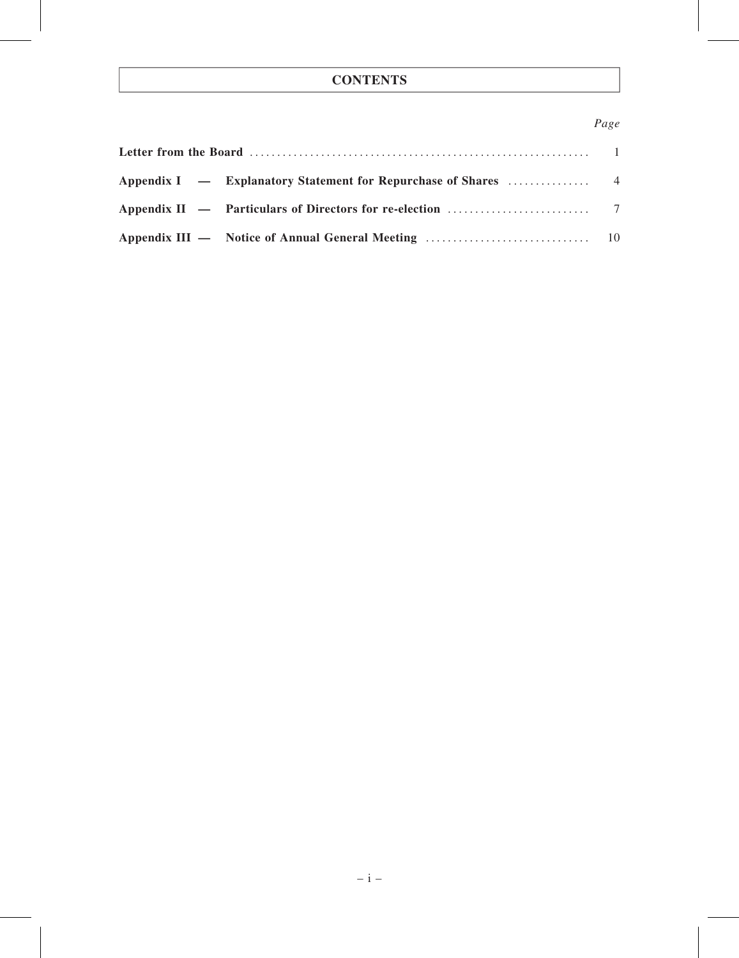## **CONTENTS**

## Page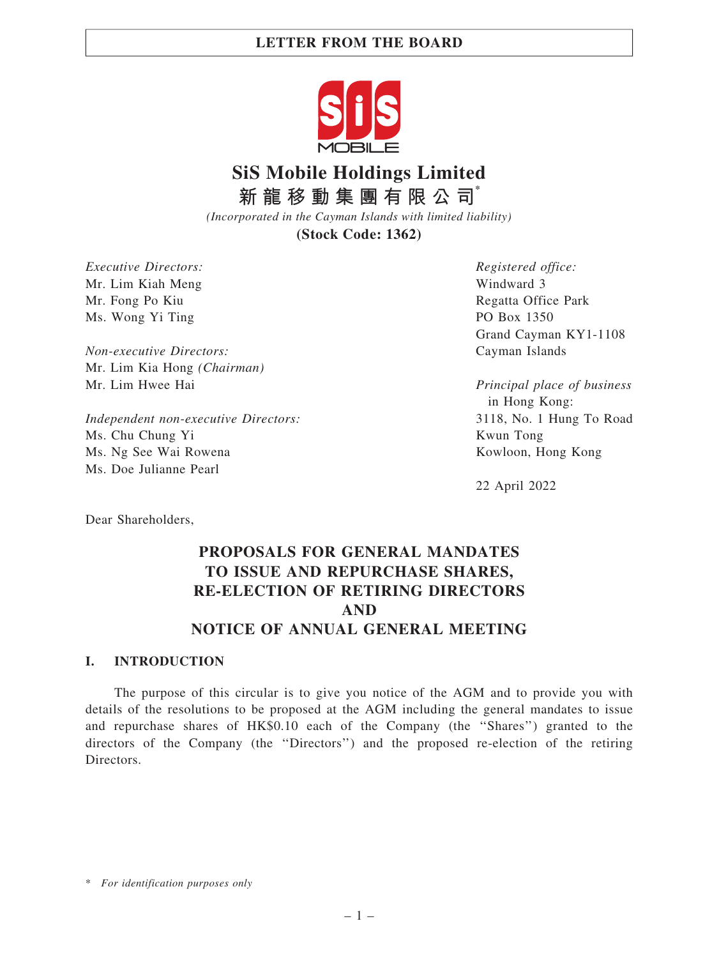## LETTER FROM THE BOARD



# **SiS Mobile Holdings Limited 新 龍 移 動 集 團 有 限 公 司\***

*(Incorporated in the Cayman Islands with limited liability)* **(Stock Code: 1362)**

Executive Directors: Mr. Lim Kiah Meng Mr. Fong Po Kiu Ms. Wong Yi Ting

Non-executive Directors: Mr. Lim Kia Hong (Chairman) Mr. Lim Hwee Hai

Independent non-executive Directors: Ms. Chu Chung Yi Ms. Ng See Wai Rowena Ms. Doe Julianne Pearl

Registered office: Windward 3 Regatta Office Park PO Box 1350 Grand Cayman KY1-1108 Cayman Islands

Principal place of business in Hong Kong: 3118, No. 1 Hung To Road Kwun Tong Kowloon, Hong Kong

22 April 2022

Dear Shareholders,

## PROPOSALS FOR GENERAL MANDATES TO ISSUE AND REPURCHASE SHARES, RE-ELECTION OF RETIRING DIRECTORS AND NOTICE OF ANNUAL GENERAL MEETING

## I. INTRODUCTION

The purpose of this circular is to give you notice of the AGM and to provide you with details of the resolutions to be proposed at the AGM including the general mandates to issue and repurchase shares of HK\$0.10 each of the Company (the ''Shares'') granted to the directors of the Company (the ''Directors'') and the proposed re-election of the retiring Directors.

\* For identification purposes only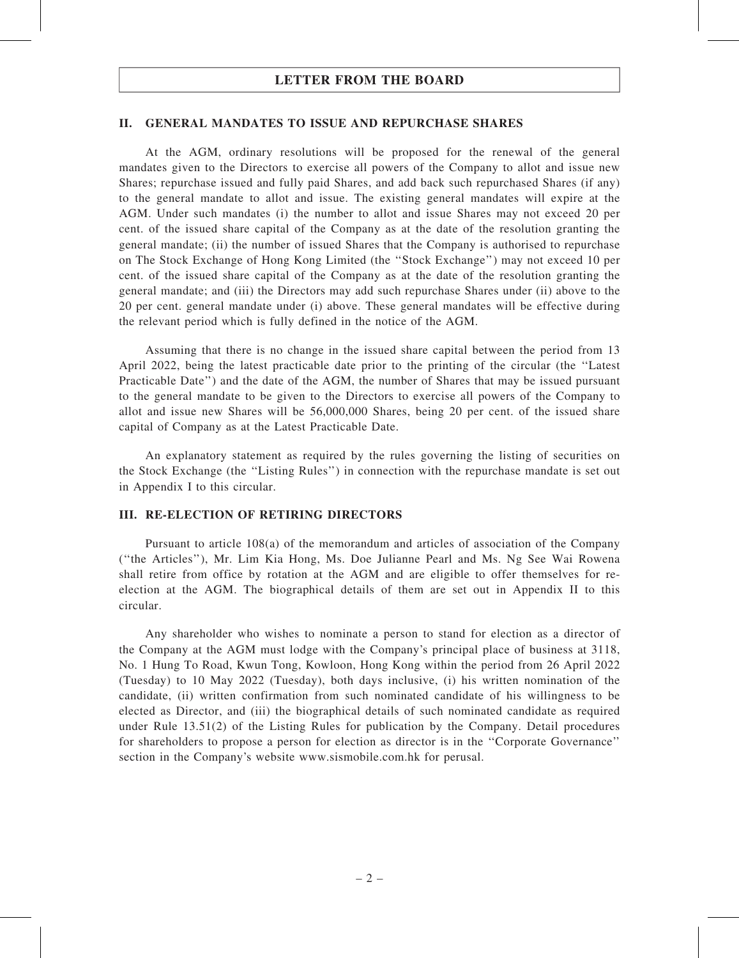## LETTER FROM THE BOARD

### II. GENERAL MANDATES TO ISSUE AND REPURCHASE SHARES

At the AGM, ordinary resolutions will be proposed for the renewal of the general mandates given to the Directors to exercise all powers of the Company to allot and issue new Shares; repurchase issued and fully paid Shares, and add back such repurchased Shares (if any) to the general mandate to allot and issue. The existing general mandates will expire at the AGM. Under such mandates (i) the number to allot and issue Shares may not exceed 20 per cent. of the issued share capital of the Company as at the date of the resolution granting the general mandate; (ii) the number of issued Shares that the Company is authorised to repurchase on The Stock Exchange of Hong Kong Limited (the ''Stock Exchange'') may not exceed 10 per cent. of the issued share capital of the Company as at the date of the resolution granting the general mandate; and (iii) the Directors may add such repurchase Shares under (ii) above to the 20 per cent. general mandate under (i) above. These general mandates will be effective during the relevant period which is fully defined in the notice of the AGM.

Assuming that there is no change in the issued share capital between the period from 13 April 2022, being the latest practicable date prior to the printing of the circular (the ''Latest Practicable Date'') and the date of the AGM, the number of Shares that may be issued pursuant to the general mandate to be given to the Directors to exercise all powers of the Company to allot and issue new Shares will be 56,000,000 Shares, being 20 per cent. of the issued share capital of Company as at the Latest Practicable Date.

An explanatory statement as required by the rules governing the listing of securities on the Stock Exchange (the ''Listing Rules'') in connection with the repurchase mandate is set out in Appendix I to this circular.

## III. RE-ELECTION OF RETIRING DIRECTORS

Pursuant to article 108(a) of the memorandum and articles of association of the Company (''the Articles''), Mr. Lim Kia Hong, Ms. Doe Julianne Pearl and Ms. Ng See Wai Rowena shall retire from office by rotation at the AGM and are eligible to offer themselves for reelection at the AGM. The biographical details of them are set out in Appendix II to this circular.

Any shareholder who wishes to nominate a person to stand for election as a director of the Company at the AGM must lodge with the Company's principal place of business at 3118, No. 1 Hung To Road, Kwun Tong, Kowloon, Hong Kong within the period from 26 April 2022 (Tuesday) to 10 May 2022 (Tuesday), both days inclusive, (i) his written nomination of the candidate, (ii) written confirmation from such nominated candidate of his willingness to be elected as Director, and (iii) the biographical details of such nominated candidate as required under Rule 13.51(2) of the Listing Rules for publication by the Company. Detail procedures for shareholders to propose a person for election as director is in the ''Corporate Governance'' section in the Company's website www.sismobile.com.hk for perusal.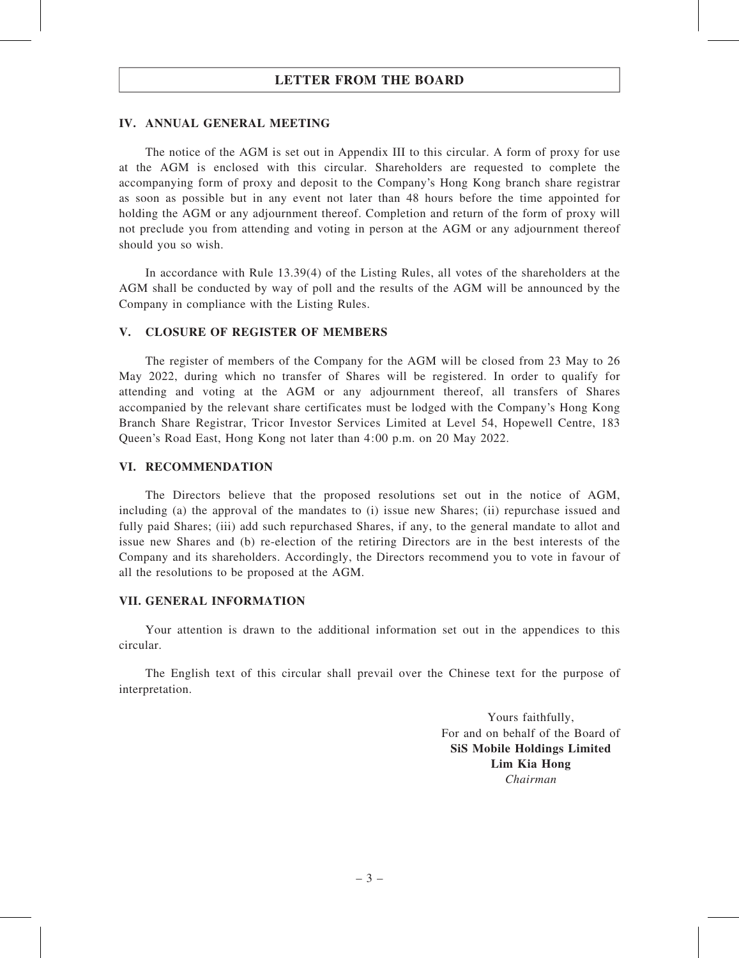## LETTER FROM THE BOARD

## IV. ANNUAL GENERAL MEETING

The notice of the AGM is set out in Appendix III to this circular. A form of proxy for use at the AGM is enclosed with this circular. Shareholders are requested to complete the accompanying form of proxy and deposit to the Company's Hong Kong branch share registrar as soon as possible but in any event not later than 48 hours before the time appointed for holding the AGM or any adjournment thereof. Completion and return of the form of proxy will not preclude you from attending and voting in person at the AGM or any adjournment thereof should you so wish.

In accordance with Rule 13.39(4) of the Listing Rules, all votes of the shareholders at the AGM shall be conducted by way of poll and the results of the AGM will be announced by the Company in compliance with the Listing Rules.

## V. CLOSURE OF REGISTER OF MEMBERS

The register of members of the Company for the AGM will be closed from 23 May to 26 May 2022, during which no transfer of Shares will be registered. In order to qualify for attending and voting at the AGM or any adjournment thereof, all transfers of Shares accompanied by the relevant share certificates must be lodged with the Company's Hong Kong Branch Share Registrar, Tricor Investor Services Limited at Level 54, Hopewell Centre, 183 Queen's Road East, Hong Kong not later than 4:00 p.m. on 20 May 2022.

#### VI. RECOMMENDATION

The Directors believe that the proposed resolutions set out in the notice of AGM, including (a) the approval of the mandates to (i) issue new Shares; (ii) repurchase issued and fully paid Shares; (iii) add such repurchased Shares, if any, to the general mandate to allot and issue new Shares and (b) re-election of the retiring Directors are in the best interests of the Company and its shareholders. Accordingly, the Directors recommend you to vote in favour of all the resolutions to be proposed at the AGM.

## VII. GENERAL INFORMATION

Your attention is drawn to the additional information set out in the appendices to this circular.

The English text of this circular shall prevail over the Chinese text for the purpose of interpretation.

> Yours faithfully, For and on behalf of the Board of SiS Mobile Holdings Limited Lim Kia Hong Chairman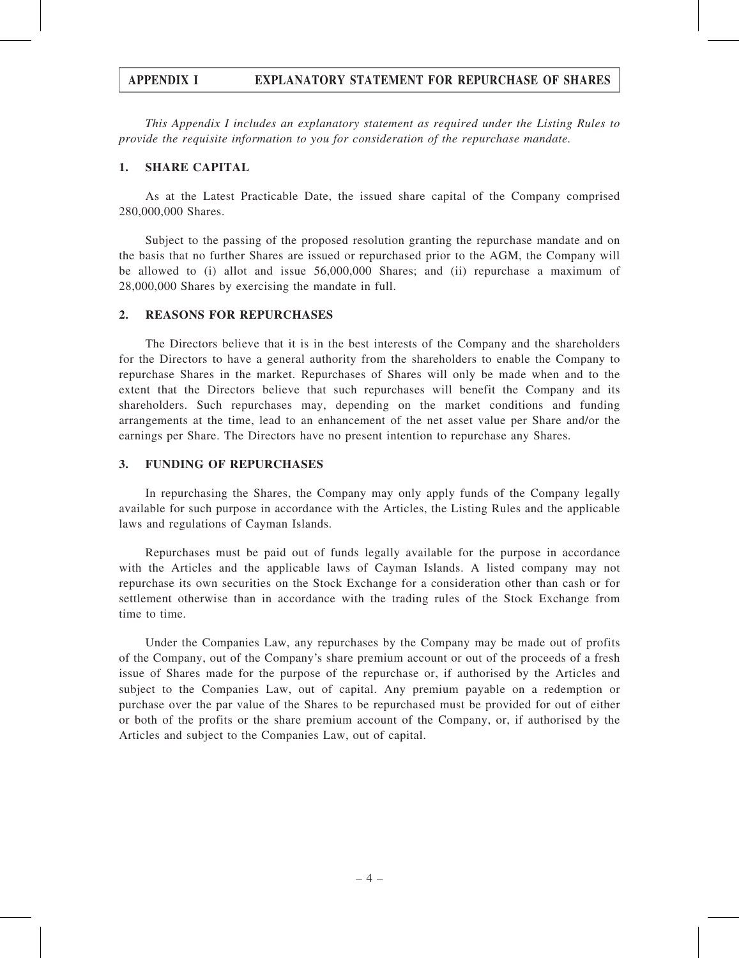## APPENDIX I EXPLANATORY STATEMENT FOR REPURCHASE OF SHARES

This Appendix I includes an explanatory statement as required under the Listing Rules to provide the requisite information to you for consideration of the repurchase mandate.

## 1. SHARE CAPITAL

As at the Latest Practicable Date, the issued share capital of the Company comprised 280,000,000 Shares.

Subject to the passing of the proposed resolution granting the repurchase mandate and on the basis that no further Shares are issued or repurchased prior to the AGM, the Company will be allowed to (i) allot and issue 56,000,000 Shares; and (ii) repurchase a maximum of 28,000,000 Shares by exercising the mandate in full.

## 2. REASONS FOR REPURCHASES

The Directors believe that it is in the best interests of the Company and the shareholders for the Directors to have a general authority from the shareholders to enable the Company to repurchase Shares in the market. Repurchases of Shares will only be made when and to the extent that the Directors believe that such repurchases will benefit the Company and its shareholders. Such repurchases may, depending on the market conditions and funding arrangements at the time, lead to an enhancement of the net asset value per Share and/or the earnings per Share. The Directors have no present intention to repurchase any Shares.

### 3. FUNDING OF REPURCHASES

In repurchasing the Shares, the Company may only apply funds of the Company legally available for such purpose in accordance with the Articles, the Listing Rules and the applicable laws and regulations of Cayman Islands.

Repurchases must be paid out of funds legally available for the purpose in accordance with the Articles and the applicable laws of Cayman Islands. A listed company may not repurchase its own securities on the Stock Exchange for a consideration other than cash or for settlement otherwise than in accordance with the trading rules of the Stock Exchange from time to time.

Under the Companies Law, any repurchases by the Company may be made out of profits of the Company, out of the Company's share premium account or out of the proceeds of a fresh issue of Shares made for the purpose of the repurchase or, if authorised by the Articles and subject to the Companies Law, out of capital. Any premium payable on a redemption or purchase over the par value of the Shares to be repurchased must be provided for out of either or both of the profits or the share premium account of the Company, or, if authorised by the Articles and subject to the Companies Law, out of capital.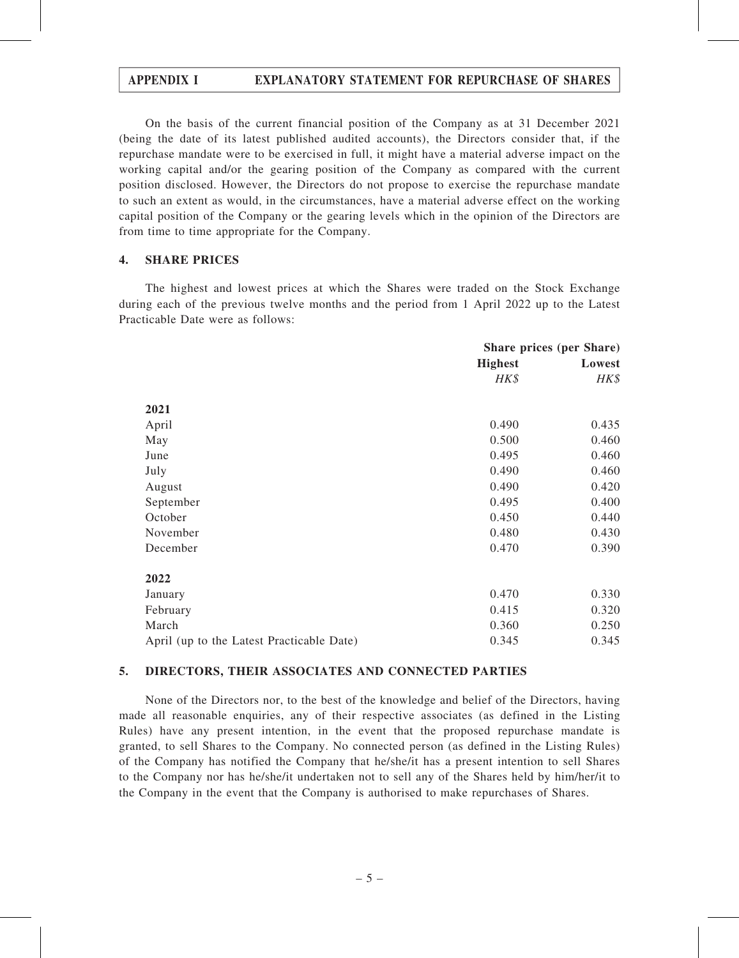## APPENDIX I EXPLANATORY STATEMENT FOR REPURCHASE OF SHARES

On the basis of the current financial position of the Company as at 31 December 2021 (being the date of its latest published audited accounts), the Directors consider that, if the repurchase mandate were to be exercised in full, it might have a material adverse impact on the working capital and/or the gearing position of the Company as compared with the current position disclosed. However, the Directors do not propose to exercise the repurchase mandate to such an extent as would, in the circumstances, have a material adverse effect on the working capital position of the Company or the gearing levels which in the opinion of the Directors are from time to time appropriate for the Company.

## 4. SHARE PRICES

The highest and lowest prices at which the Shares were traded on the Stock Exchange during each of the previous twelve months and the period from 1 April 2022 up to the Latest Practicable Date were as follows:

|                                           | <b>Share prices (per Share)</b> |        |
|-------------------------------------------|---------------------------------|--------|
|                                           | <b>Highest</b>                  | Lowest |
|                                           | HK\$                            | HK\$   |
| 2021                                      |                                 |        |
| April                                     | 0.490                           | 0.435  |
| May                                       | 0.500                           | 0.460  |
| June                                      | 0.495                           | 0.460  |
| July                                      | 0.490                           | 0.460  |
| August                                    | 0.490                           | 0.420  |
| September                                 | 0.495                           | 0.400  |
| October                                   | 0.450                           | 0.440  |
| November                                  | 0.480                           | 0.430  |
| December                                  | 0.470                           | 0.390  |
| 2022                                      |                                 |        |
| January                                   | 0.470                           | 0.330  |
| February                                  | 0.415                           | 0.320  |
| March                                     | 0.360                           | 0.250  |
| April (up to the Latest Practicable Date) | 0.345                           | 0.345  |

#### 5. DIRECTORS, THEIR ASSOCIATES AND CONNECTED PARTIES

None of the Directors nor, to the best of the knowledge and belief of the Directors, having made all reasonable enquiries, any of their respective associates (as defined in the Listing Rules) have any present intention, in the event that the proposed repurchase mandate is granted, to sell Shares to the Company. No connected person (as defined in the Listing Rules) of the Company has notified the Company that he/she/it has a present intention to sell Shares to the Company nor has he/she/it undertaken not to sell any of the Shares held by him/her/it to the Company in the event that the Company is authorised to make repurchases of Shares.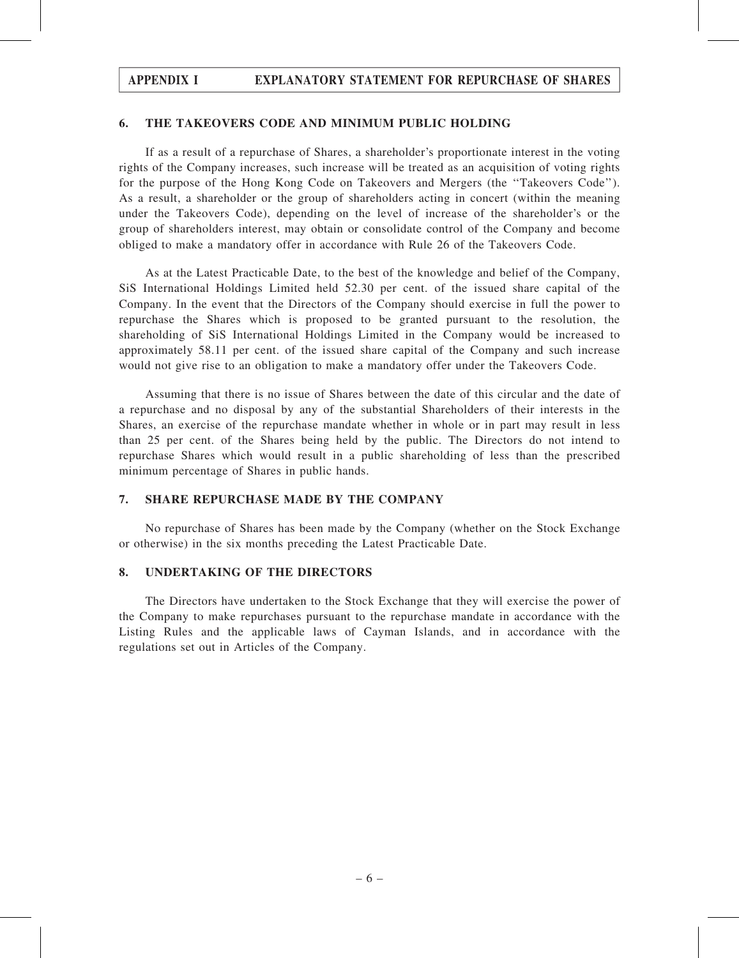# APPENDIX I EXPLANATORY STATEMENT FOR REPURCHASE OF SHARES

### 6. THE TAKEOVERS CODE AND MINIMUM PUBLIC HOLDING

If as a result of a repurchase of Shares, a shareholder's proportionate interest in the voting rights of the Company increases, such increase will be treated as an acquisition of voting rights for the purpose of the Hong Kong Code on Takeovers and Mergers (the ''Takeovers Code''). As a result, a shareholder or the group of shareholders acting in concert (within the meaning under the Takeovers Code), depending on the level of increase of the shareholder's or the group of shareholders interest, may obtain or consolidate control of the Company and become obliged to make a mandatory offer in accordance with Rule 26 of the Takeovers Code.

As at the Latest Practicable Date, to the best of the knowledge and belief of the Company, SiS International Holdings Limited held 52.30 per cent. of the issued share capital of the Company. In the event that the Directors of the Company should exercise in full the power to repurchase the Shares which is proposed to be granted pursuant to the resolution, the shareholding of SiS International Holdings Limited in the Company would be increased to approximately 58.11 per cent. of the issued share capital of the Company and such increase would not give rise to an obligation to make a mandatory offer under the Takeovers Code.

Assuming that there is no issue of Shares between the date of this circular and the date of a repurchase and no disposal by any of the substantial Shareholders of their interests in the Shares, an exercise of the repurchase mandate whether in whole or in part may result in less than 25 per cent. of the Shares being held by the public. The Directors do not intend to repurchase Shares which would result in a public shareholding of less than the prescribed minimum percentage of Shares in public hands.

## 7. SHARE REPURCHASE MADE BY THE COMPANY

No repurchase of Shares has been made by the Company (whether on the Stock Exchange or otherwise) in the six months preceding the Latest Practicable Date.

### 8. UNDERTAKING OF THE DIRECTORS

The Directors have undertaken to the Stock Exchange that they will exercise the power of the Company to make repurchases pursuant to the repurchase mandate in accordance with the Listing Rules and the applicable laws of Cayman Islands, and in accordance with the regulations set out in Articles of the Company.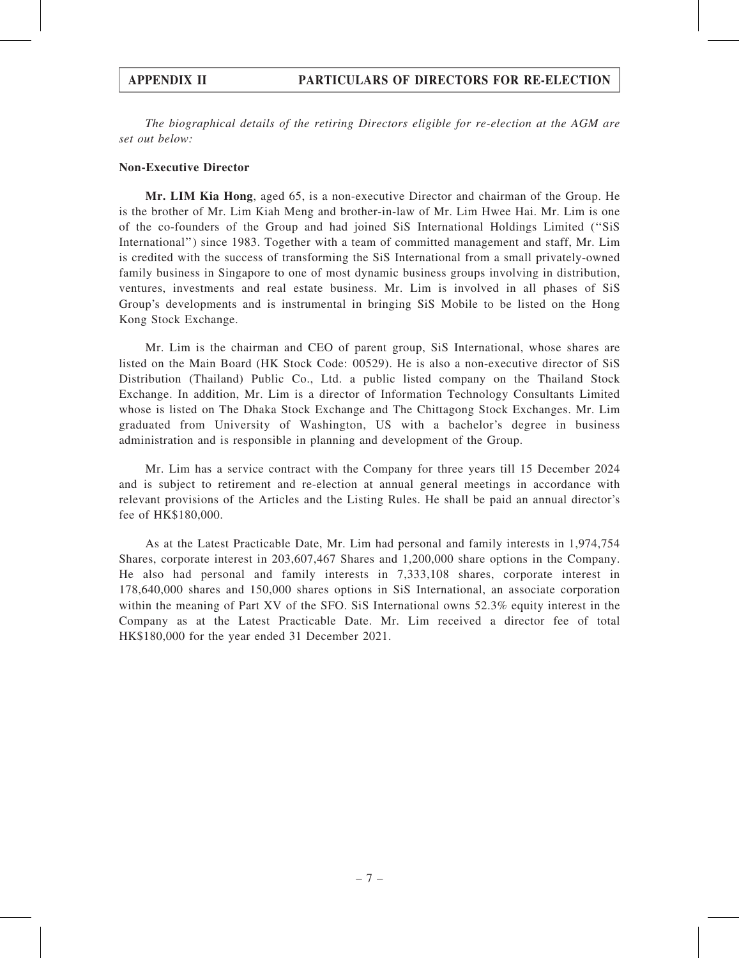The biographical details of the retiring Directors eligible for re-election at the AGM are set out below:

## Non-Executive Director

Mr. LIM Kia Hong, aged 65, is a non-executive Director and chairman of the Group. He is the brother of Mr. Lim Kiah Meng and brother-in-law of Mr. Lim Hwee Hai. Mr. Lim is one of the co-founders of the Group and had joined SiS International Holdings Limited (''SiS International'') since 1983. Together with a team of committed management and staff, Mr. Lim is credited with the success of transforming the SiS International from a small privately-owned family business in Singapore to one of most dynamic business groups involving in distribution, ventures, investments and real estate business. Mr. Lim is involved in all phases of SiS Group's developments and is instrumental in bringing SiS Mobile to be listed on the Hong Kong Stock Exchange.

Mr. Lim is the chairman and CEO of parent group, SiS International, whose shares are listed on the Main Board (HK Stock Code: 00529). He is also a non-executive director of SiS Distribution (Thailand) Public Co., Ltd. a public listed company on the Thailand Stock Exchange. In addition, Mr. Lim is a director of Information Technology Consultants Limited whose is listed on The Dhaka Stock Exchange and The Chittagong Stock Exchanges. Mr. Lim graduated from University of Washington, US with a bachelor's degree in business administration and is responsible in planning and development of the Group.

Mr. Lim has a service contract with the Company for three years till 15 December 2024 and is subject to retirement and re-election at annual general meetings in accordance with relevant provisions of the Articles and the Listing Rules. He shall be paid an annual director's fee of HK\$180,000.

As at the Latest Practicable Date, Mr. Lim had personal and family interests in 1,974,754 Shares, corporate interest in 203,607,467 Shares and 1,200,000 share options in the Company. He also had personal and family interests in 7,333,108 shares, corporate interest in 178,640,000 shares and 150,000 shares options in SiS International, an associate corporation within the meaning of Part XV of the SFO. SiS International owns 52.3% equity interest in the Company as at the Latest Practicable Date. Mr. Lim received a director fee of total HK\$180,000 for the year ended 31 December 2021.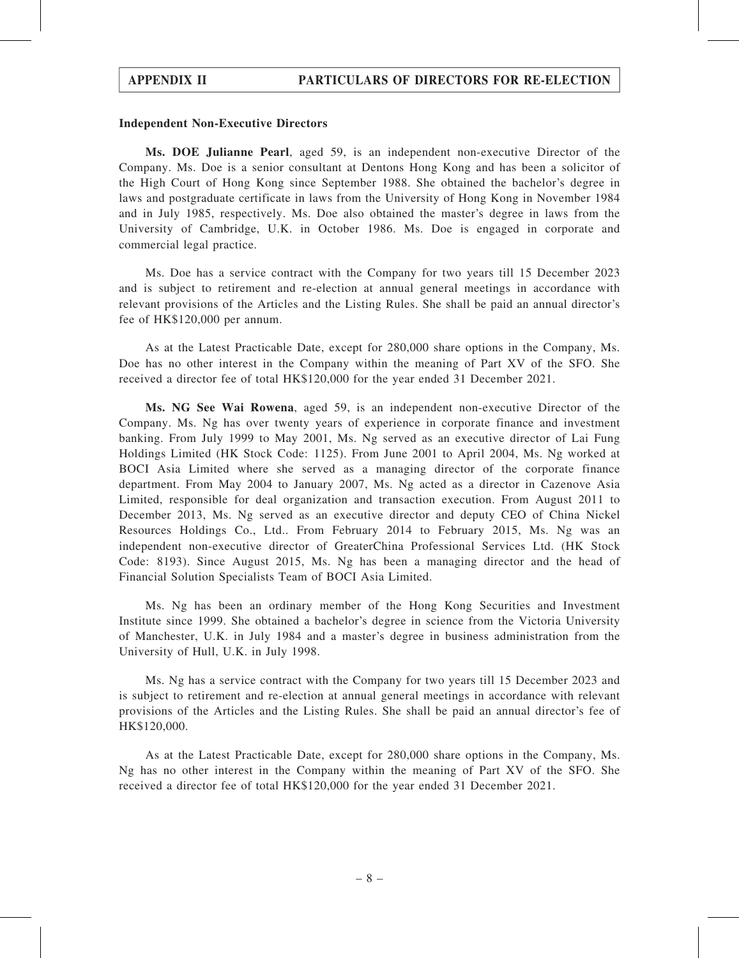#### Independent Non-Executive Directors

Ms. DOE Julianne Pearl, aged 59, is an independent non-executive Director of the Company. Ms. Doe is a senior consultant at Dentons Hong Kong and has been a solicitor of the High Court of Hong Kong since September 1988. She obtained the bachelor's degree in laws and postgraduate certificate in laws from the University of Hong Kong in November 1984 and in July 1985, respectively. Ms. Doe also obtained the master's degree in laws from the University of Cambridge, U.K. in October 1986. Ms. Doe is engaged in corporate and commercial legal practice.

Ms. Doe has a service contract with the Company for two years till 15 December 2023 and is subject to retirement and re-election at annual general meetings in accordance with relevant provisions of the Articles and the Listing Rules. She shall be paid an annual director's fee of HK\$120,000 per annum.

As at the Latest Practicable Date, except for 280,000 share options in the Company, Ms. Doe has no other interest in the Company within the meaning of Part XV of the SFO. She received a director fee of total HK\$120,000 for the year ended 31 December 2021.

Ms. NG See Wai Rowena, aged 59, is an independent non-executive Director of the Company. Ms. Ng has over twenty years of experience in corporate finance and investment banking. From July 1999 to May 2001, Ms. Ng served as an executive director of Lai Fung Holdings Limited (HK Stock Code: 1125). From June 2001 to April 2004, Ms. Ng worked at BOCI Asia Limited where she served as a managing director of the corporate finance department. From May 2004 to January 2007, Ms. Ng acted as a director in Cazenove Asia Limited, responsible for deal organization and transaction execution. From August 2011 to December 2013, Ms. Ng served as an executive director and deputy CEO of China Nickel Resources Holdings Co., Ltd.. From February 2014 to February 2015, Ms. Ng was an independent non-executive director of GreaterChina Professional Services Ltd. (HK Stock Code: 8193). Since August 2015, Ms. Ng has been a managing director and the head of Financial Solution Specialists Team of BOCI Asia Limited.

Ms. Ng has been an ordinary member of the Hong Kong Securities and Investment Institute since 1999. She obtained a bachelor's degree in science from the Victoria University of Manchester, U.K. in July 1984 and a master's degree in business administration from the University of Hull, U.K. in July 1998.

Ms. Ng has a service contract with the Company for two years till 15 December 2023 and is subject to retirement and re-election at annual general meetings in accordance with relevant provisions of the Articles and the Listing Rules. She shall be paid an annual director's fee of HK\$120,000.

As at the Latest Practicable Date, except for 280,000 share options in the Company, Ms. Ng has no other interest in the Company within the meaning of Part XV of the SFO. She received a director fee of total HK\$120,000 for the year ended 31 December 2021.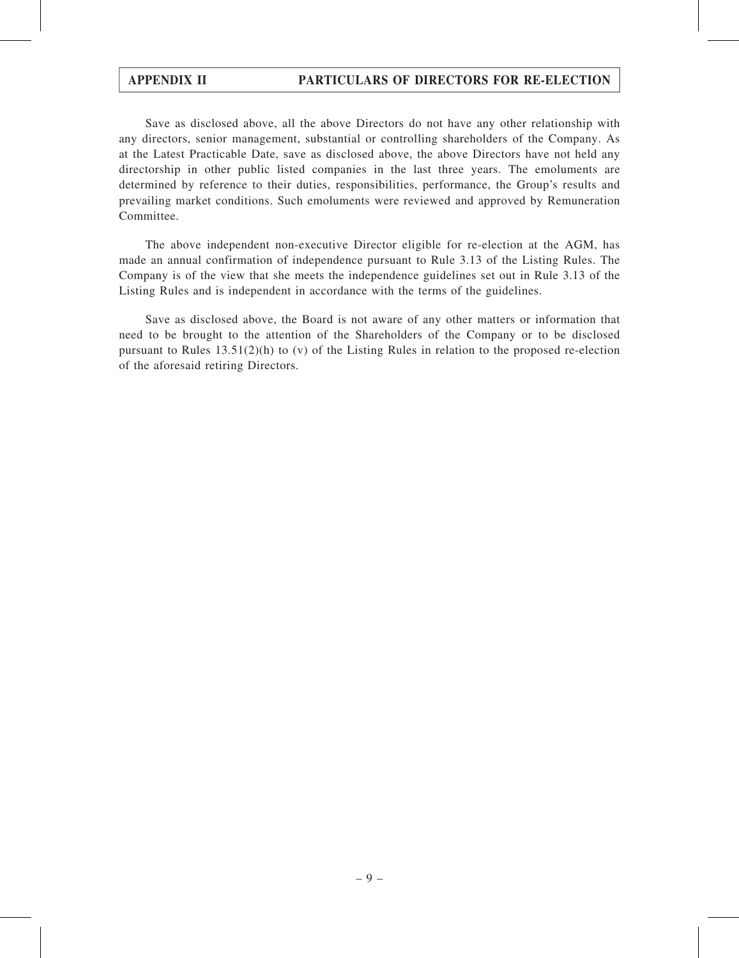Save as disclosed above, all the above Directors do not have any other relationship with any directors, senior management, substantial or controlling shareholders of the Company. As at the Latest Practicable Date, save as disclosed above, the above Directors have not held any directorship in other public listed companies in the last three years. The emoluments are determined by reference to their duties, responsibilities, performance, the Group's results and prevailing market conditions. Such emoluments were reviewed and approved by Remuneration Committee.

The above independent non-executive Director eligible for re-election at the AGM, has made an annual confirmation of independence pursuant to Rule 3.13 of the Listing Rules. The Company is of the view that she meets the independence guidelines set out in Rule 3.13 of the Listing Rules and is independent in accordance with the terms of the guidelines.

Save as disclosed above, the Board is not aware of any other matters or information that need to be brought to the attention of the Shareholders of the Company or to be disclosed pursuant to Rules  $13.51(2)(h)$  to (v) of the Listing Rules in relation to the proposed re-election of the aforesaid retiring Directors.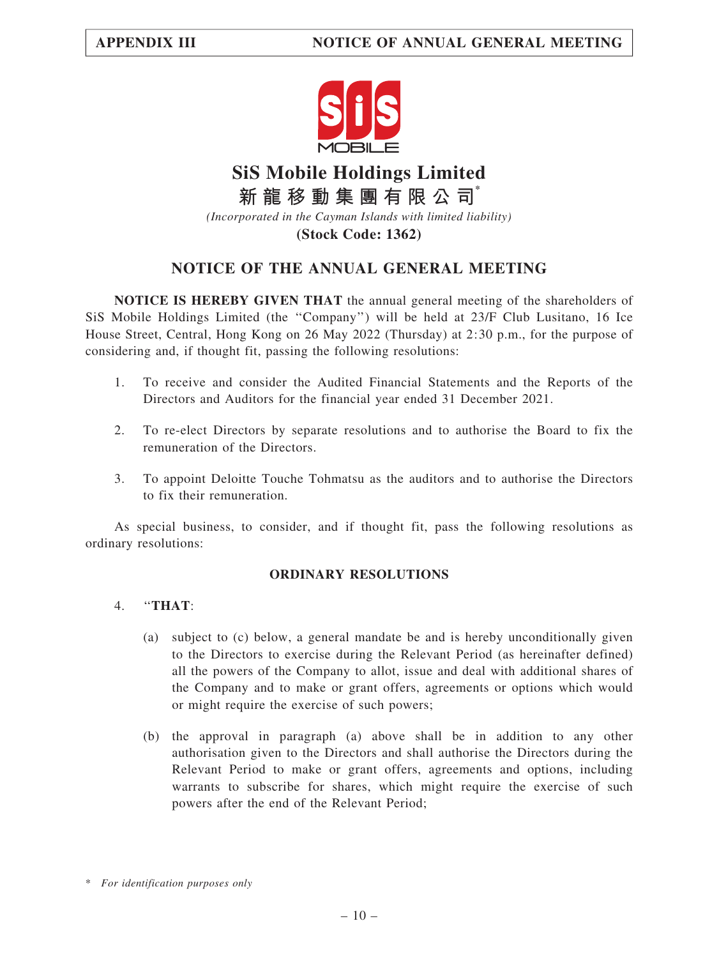

# **SiS Mobile Holdings Limited** *(Incorporated in the Cayman Islands with limited liability)* **新 龍 移 動 集 團 有 限 公 司\***

**(Stock Code: 1362)**

## NOTICE OF THE ANNUAL GENERAL MEETING

NOTICE IS HEREBY GIVEN THAT the annual general meeting of the shareholders of SiS Mobile Holdings Limited (the ''Company'') will be held at 23/F Club Lusitano, 16 Ice House Street, Central, Hong Kong on 26 May 2022 (Thursday) at 2:30 p.m., for the purpose of considering and, if thought fit, passing the following resolutions:

- 1. To receive and consider the Audited Financial Statements and the Reports of the Directors and Auditors for the financial year ended 31 December 2021.
- 2. To re-elect Directors by separate resolutions and to authorise the Board to fix the remuneration of the Directors.
- 3. To appoint Deloitte Touche Tohmatsu as the auditors and to authorise the Directors to fix their remuneration.

As special business, to consider, and if thought fit, pass the following resolutions as ordinary resolutions:

## ORDINARY RESOLUTIONS

## 4. ''THAT:

- (a) subject to (c) below, a general mandate be and is hereby unconditionally given to the Directors to exercise during the Relevant Period (as hereinafter defined) all the powers of the Company to allot, issue and deal with additional shares of the Company and to make or grant offers, agreements or options which would or might require the exercise of such powers;
- (b) the approval in paragraph (a) above shall be in addition to any other authorisation given to the Directors and shall authorise the Directors during the Relevant Period to make or grant offers, agreements and options, including warrants to subscribe for shares, which might require the exercise of such powers after the end of the Relevant Period;

<sup>\*</sup> For identification purposes only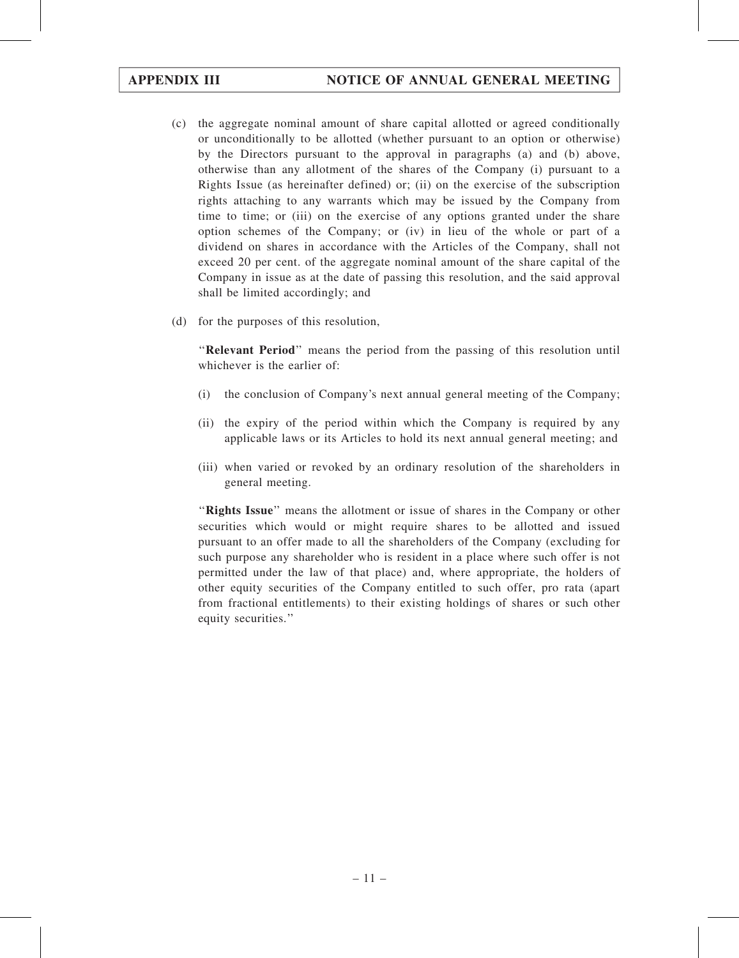- (c) the aggregate nominal amount of share capital allotted or agreed conditionally or unconditionally to be allotted (whether pursuant to an option or otherwise) by the Directors pursuant to the approval in paragraphs (a) and (b) above, otherwise than any allotment of the shares of the Company (i) pursuant to a Rights Issue (as hereinafter defined) or; (ii) on the exercise of the subscription rights attaching to any warrants which may be issued by the Company from time to time; or (iii) on the exercise of any options granted under the share option schemes of the Company; or (iv) in lieu of the whole or part of a dividend on shares in accordance with the Articles of the Company, shall not exceed 20 per cent. of the aggregate nominal amount of the share capital of the Company in issue as at the date of passing this resolution, and the said approval shall be limited accordingly; and
- (d) for the purposes of this resolution,

''Relevant Period'' means the period from the passing of this resolution until whichever is the earlier of:

- (i) the conclusion of Company's next annual general meeting of the Company;
- (ii) the expiry of the period within which the Company is required by any applicable laws or its Articles to hold its next annual general meeting; and
- (iii) when varied or revoked by an ordinary resolution of the shareholders in general meeting.

"Rights Issue" means the allotment or issue of shares in the Company or other securities which would or might require shares to be allotted and issued pursuant to an offer made to all the shareholders of the Company (excluding for such purpose any shareholder who is resident in a place where such offer is not permitted under the law of that place) and, where appropriate, the holders of other equity securities of the Company entitled to such offer, pro rata (apart from fractional entitlements) to their existing holdings of shares or such other equity securities.''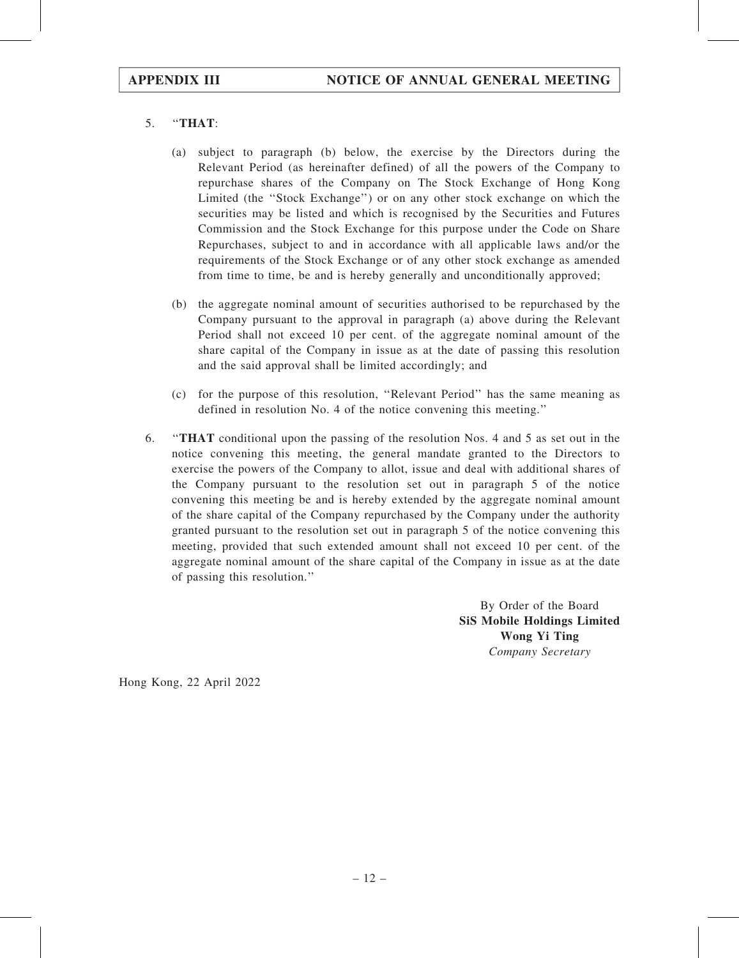## 5. ''THAT:

- (a) subject to paragraph (b) below, the exercise by the Directors during the Relevant Period (as hereinafter defined) of all the powers of the Company to repurchase shares of the Company on The Stock Exchange of Hong Kong Limited (the ''Stock Exchange'') or on any other stock exchange on which the securities may be listed and which is recognised by the Securities and Futures Commission and the Stock Exchange for this purpose under the Code on Share Repurchases, subject to and in accordance with all applicable laws and/or the requirements of the Stock Exchange or of any other stock exchange as amended from time to time, be and is hereby generally and unconditionally approved;
- (b) the aggregate nominal amount of securities authorised to be repurchased by the Company pursuant to the approval in paragraph (a) above during the Relevant Period shall not exceed 10 per cent. of the aggregate nominal amount of the share capital of the Company in issue as at the date of passing this resolution and the said approval shall be limited accordingly; and
- (c) for the purpose of this resolution, ''Relevant Period'' has the same meaning as defined in resolution No. 4 of the notice convening this meeting.''
- 6. ''THAT conditional upon the passing of the resolution Nos. 4 and 5 as set out in the notice convening this meeting, the general mandate granted to the Directors to exercise the powers of the Company to allot, issue and deal with additional shares of the Company pursuant to the resolution set out in paragraph 5 of the notice convening this meeting be and is hereby extended by the aggregate nominal amount of the share capital of the Company repurchased by the Company under the authority granted pursuant to the resolution set out in paragraph 5 of the notice convening this meeting, provided that such extended amount shall not exceed 10 per cent. of the aggregate nominal amount of the share capital of the Company in issue as at the date of passing this resolution.''

By Order of the Board SiS Mobile Holdings Limited Wong Yi Ting Company Secretary

Hong Kong, 22 April 2022